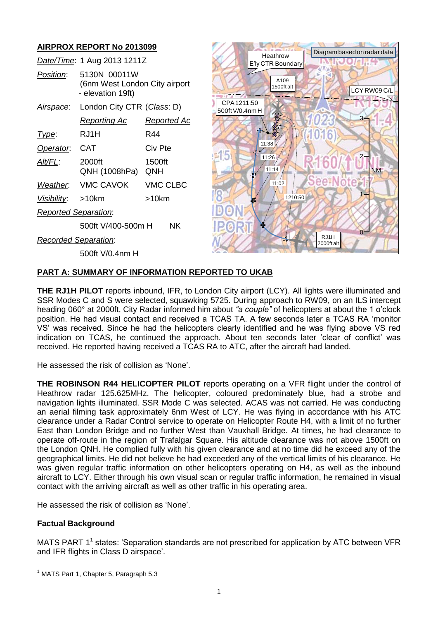# **AIRPROX REPORT No 2013099**

| AIRPRUA REPURT NO ZUT3099   |                                                                    |                    |                                |                               |         | Diagram based on radar data |
|-----------------------------|--------------------------------------------------------------------|--------------------|--------------------------------|-------------------------------|---------|-----------------------------|
| Date/Time: 1 Aug 2013 1211Z |                                                                    |                    |                                | Heathrow<br>E'ly CTR Boundary |         |                             |
| Position:                   | 5130N 00011W<br>(6nm West London City airport<br>- elevation 19ft) |                    |                                | A109<br>1500ft alt            |         | LCY RW09 C/L                |
| Airspace:                   | London City CTR (Class: D)                                         |                    | CPA 1211:50<br>500ft V/0.4nm H |                               |         |                             |
|                             | <b>Reporting Ac</b>                                                | <u>Reported Ac</u> |                                | 怒                             |         | 3-                          |
| Type:                       | RJ1H                                                               | R44                |                                |                               |         |                             |
| Operator.                   | <b>CAT</b>                                                         | Civ Pte            |                                | 11:38                         |         |                             |
| Alt/FL:                     | 2000ft<br>QNH (1008hPa)                                            | 1500ft<br>QNH      | -15                            | 11:26<br>11:14                |         | <b>NM</b>                   |
| Weather.                    | <b>VMC CAVOK</b>                                                   | <b>VMC CLBC</b>    |                                | 11:02                         | ee Note |                             |
| Visibility:                 | $>10$ km                                                           | >10km              |                                | 1210:50                       |         |                             |
| <b>Reported Separation:</b> |                                                                    |                    |                                |                               |         |                             |
|                             | <b>NK</b><br>500ft V/400-500m H                                    |                    |                                | ¥F                            |         |                             |
|                             | <b>Recorded Separation:</b>                                        |                    |                                | RJ1H<br>2000ft alt            |         |                             |
|                             | 500ft V/0.4nm H                                                    |                    |                                |                               |         |                             |
|                             |                                                                    |                    |                                |                               |         |                             |

#### **PART A: SUMMARY OF INFORMATION REPORTED TO UKAB**

**THE RJ1H PILOT** reports inbound, IFR, to London City airport (LCY). All lights were illuminated and SSR Modes C and S were selected, squawking 5725. During approach to RW09, on an ILS intercept heading 060° at 2000ft, City Radar informed him about *"a couple"* of helicopters at about the 1 o'clock position. He had visual contact and received a TCAS TA. A few seconds later a TCAS RA 'monitor VS' was received. Since he had the helicopters clearly identified and he was flying above VS red indication on TCAS, he continued the approach. About ten seconds later 'clear of conflict' was received. He reported having received a TCAS RA to ATC, after the aircraft had landed.

He assessed the risk of collision as 'None'.

**THE ROBINSON R44 HELICOPTER PILOT** reports operating on a VFR flight under the control of Heathrow radar 125.625MHz. The helicopter, coloured predominately blue, had a strobe and navigation lights illuminated. SSR Mode C was selected. ACAS was not carried. He was conducting an aerial filming task approximately 6nm West of LCY. He was flying in accordance with his ATC clearance under a Radar Control service to operate on Helicopter Route H4, with a limit of no further East than London Bridge and no further West than Vauxhall Bridge. At times, he had clearance to operate off-route in the region of Trafalgar Square. His altitude clearance was not above 1500ft on the London QNH. He complied fully with his given clearance and at no time did he exceed any of the geographical limits. He did not believe he had exceeded any of the vertical limits of his clearance. He was given regular traffic information on other helicopters operating on H4, as well as the inbound aircraft to LCY. Either through his own visual scan or regular traffic information, he remained in visual contact with the arriving aircraft as well as other traffic in his operating area.

He assessed the risk of collision as 'None'.

#### **Factual Background**

MATS PART  $1^1$  states: 'Separation standards are not prescribed for application by ATC between VFR and IFR flights in Class D airspace'.

 $\overline{a}$  $<sup>1</sup>$  MATS Part 1, Chapter 5, Paragraph 5.3</sup>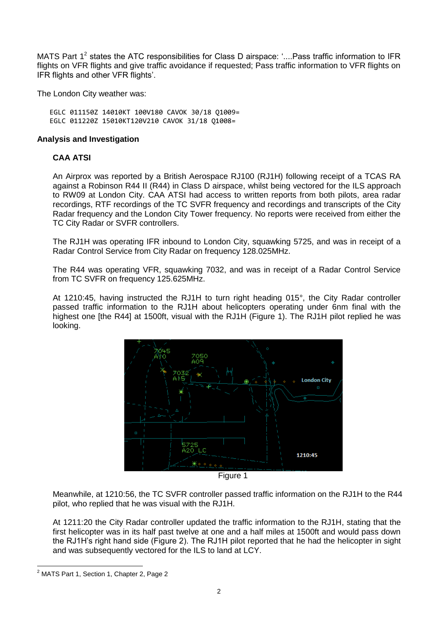MATS Part 1<sup>2</sup> states the ATC responsibilities for Class D airspace: '....Pass traffic information to IFR flights on VFR flights and give traffic avoidance if requested; Pass traffic information to VFR flights on IFR flights and other VFR flights'.

The London City weather was:

EGLC 011150Z 14010KT 100V180 CAVOK 30/18 Q1009= EGLC 011220Z 15010KT120V210 CAVOK 31/18 Q1008=

#### **Analysis and Investigation**

#### **CAA ATSI**

An Airprox was reported by a British Aerospace RJ100 (RJ1H) following receipt of a TCAS RA against a Robinson R44 II (R44) in Class D airspace, whilst being vectored for the ILS approach to RW09 at London City. CAA ATSI had access to written reports from both pilots, area radar recordings, RTF recordings of the TC SVFR frequency and recordings and transcripts of the City Radar frequency and the London City Tower frequency. No reports were received from either the TC City Radar or SVFR controllers.

The RJ1H was operating IFR inbound to London City, squawking 5725, and was in receipt of a Radar Control Service from City Radar on frequency 128.025MHz.

The R44 was operating VFR, squawking 7032, and was in receipt of a Radar Control Service from TC SVFR on frequency 125.625MHz.

At 1210:45, having instructed the RJ1H to turn right heading 015°, the City Radar controller passed traffic information to the RJ1H about helicopters operating under 6nm final with the highest one [the R44] at 1500ft, visual with the RJ1H (Figure 1). The RJ1H pilot replied he was looking.



Meanwhile, at 1210:56, the TC SVFR controller passed traffic information on the RJ1H to the R44 pilot, who replied that he was visual with the RJ1H.

At 1211:20 the City Radar controller updated the traffic information to the RJ1H, stating that the first helicopter was in its half past twelve at one and a half miles at 1500ft and would pass down the RJ1H's right hand side (Figure 2). The RJ1H pilot reported that he had the helicopter in sight and was subsequently vectored for the ILS to land at LCY.

 $\overline{a}$ 

<sup>&</sup>lt;sup>2</sup> MATS Part 1, Section 1, Chapter 2, Page 2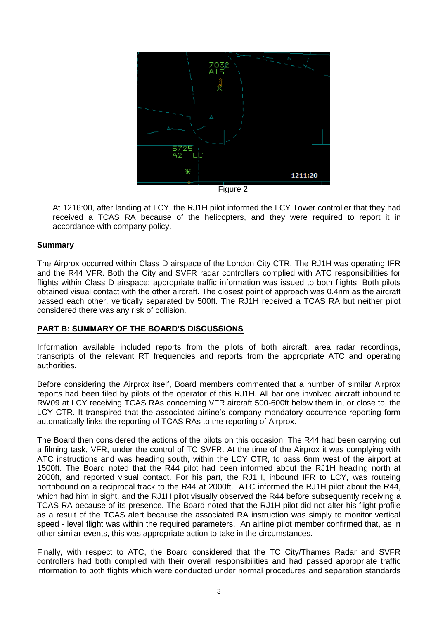

Figure 2

At 1216:00, after landing at LCY, the RJ1H pilot informed the LCY Tower controller that they had received a TCAS RA because of the helicopters, and they were required to report it in accordance with company policy.

## **Summary**

The Airprox occurred within Class D airspace of the London City CTR. The RJ1H was operating IFR and the R44 VFR. Both the City and SVFR radar controllers complied with ATC responsibilities for flights within Class D airspace; appropriate traffic information was issued to both flights. Both pilots obtained visual contact with the other aircraft. The closest point of approach was 0.4nm as the aircraft passed each other, vertically separated by 500ft. The RJ1H received a TCAS RA but neither pilot considered there was any risk of collision.

## **PART B: SUMMARY OF THE BOARD'S DISCUSSIONS**

Information available included reports from the pilots of both aircraft, area radar recordings, transcripts of the relevant RT frequencies and reports from the appropriate ATC and operating authorities.

Before considering the Airprox itself, Board members commented that a number of similar Airprox reports had been filed by pilots of the operator of this RJ1H. All bar one involved aircraft inbound to RW09 at LCY receiving TCAS RAs concerning VFR aircraft 500-600ft below them in, or close to, the LCY CTR. It transpired that the associated airline's company mandatory occurrence reporting form automatically links the reporting of TCAS RAs to the reporting of Airprox.

The Board then considered the actions of the pilots on this occasion. The R44 had been carrying out a filming task, VFR, under the control of TC SVFR. At the time of the Airprox it was complying with ATC instructions and was heading south, within the LCY CTR, to pass 6nm west of the airport at 1500ft. The Board noted that the R44 pilot had been informed about the RJ1H heading north at 2000ft, and reported visual contact. For his part, the RJ1H, inbound IFR to LCY, was routeing northbound on a reciprocal track to the R44 at 2000ft. ATC informed the RJ1H pilot about the R44, which had him in sight, and the RJ1H pilot visually observed the R44 before subsequently receiving a TCAS RA because of its presence. The Board noted that the RJ1H pilot did not alter his flight profile as a result of the TCAS alert because the associated RA instruction was simply to monitor vertical speed - level flight was within the required parameters. An airline pilot member confirmed that, as in other similar events, this was appropriate action to take in the circumstances.

Finally, with respect to ATC, the Board considered that the TC City/Thames Radar and SVFR controllers had both complied with their overall responsibilities and had passed appropriate traffic information to both flights which were conducted under normal procedures and separation standards